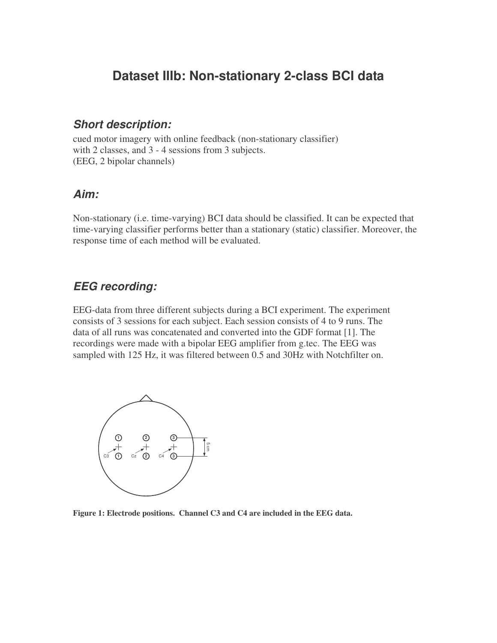# **Dataset IIIb: Non-stationary 2-class BCI data**

### *Short description:*

cued motor imagery with online feedback (non-stationary classifier) with 2 classes, and 3 - 4 sessions from 3 subjects. (EEG, 2 bipolar channels)

#### *Aim:*

Non-stationary (i.e. time-varying) BCI data should be classified. It can be expected that time-varying classifier performs better than a stationary (static) classifier. Moreover, the response time of each method will be evaluated.

### *EEG recording:*

EEG-data from three different subjects during a BCI experiment. The experiment consists of 3 sessions for each subject. Each session consists of 4 to 9 runs. The data of all runs was concatenated and converted into the GDF format [1]. The recordings were made with a bipolar EEG amplifier from g.tec. The EEG was sampled with 125 Hz, it was filtered between 0.5 and 30Hz with Notchfilter on.



**Figure 1: Electrode positions. Channel C3 and C4 are included in the EEG data.**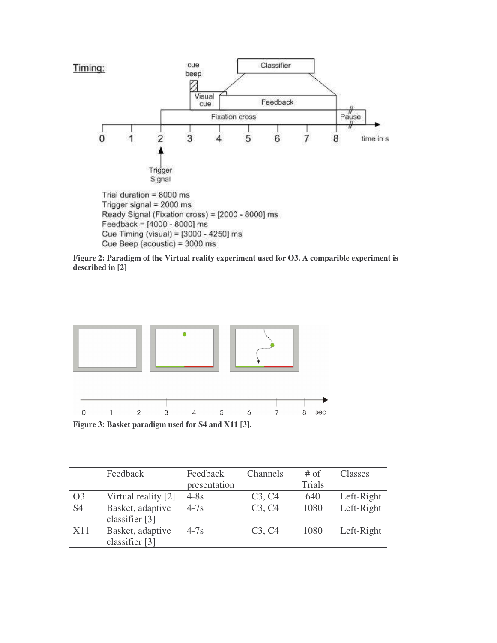

**Figure 2: Paradigm of the Virtual reality experiment used for O3. A comparible experiment is described in [2]**



Cue Beep (acoustic) = 3000 ms

Feedback Feedback presentation Channels # of Trials Classes O3 | Virtual reality  $[2]$  | 4-8s | C3, C4 | 640 | Left-Right S4 Basket, adaptive classifier [3] 4-7s C3, C4 1080 Left-Right X11 Basket, adaptive classifier [3] 4-7s C3, C4 1080 Left-Right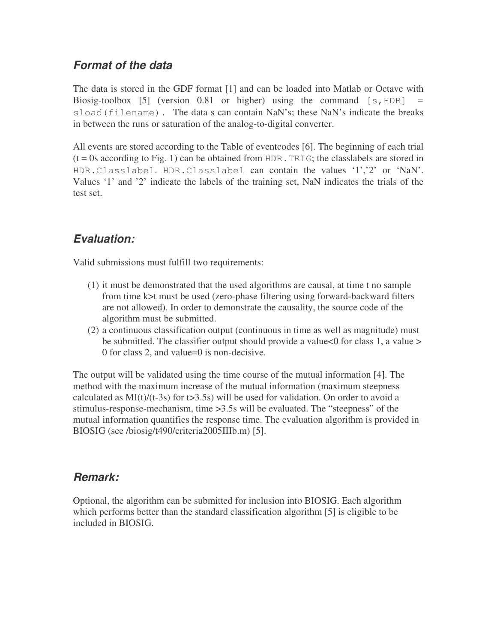### *Format of the data*

The data is stored in the GDF format [1] and can be loaded into Matlab or Octave with Biosig-toolbox [5] (version  $0.81$  or higher) using the command  $[s, HDR]$ sload(filename). The data s can contain NaN's; these NaN's indicate the breaks in between the runs or saturation of the analog-to-digital converter.

All events are stored according to the Table of eventcodes [6]. The beginning of each trial  $(t = 0s$  according to Fig. 1) can be obtained from HDR. TRIG; the class labels are stored in HDR.Classlabel. HDR.Classlabel can contain the values '1','2' or 'NaN'. Values '1' and '2' indicate the labels of the training set, NaN indicates the trials of the test set.

## *Evaluation:*

Valid submissions must fulfill two requirements:

- (1) it must be demonstrated that the used algorithms are causal, at time t no sample from time k>t must be used (zero-phase filtering using forward-backward filters are not allowed). In order to demonstrate the causality, the source code of the algorithm must be submitted.
- (2) a continuous classification output (continuous in time as well as magnitude) must be submitted. The classifier output should provide a value <0 for class 1, a value > 0 for class 2, and value=0 is non-decisive.

The output will be validated using the time course of the mutual information [4]. The method with the maximum increase of the mutual information (maximum steepness calculated as  $MI(t)/(t-3s)$  for  $t>3.5s$ ) will be used for validation. On order to avoid a stimulus-response-mechanism, time >3.5s will be evaluated. The "steepness" of the mutual information quantifies the response time. The evaluation algorithm is provided in BIOSIG (see /biosig/t490/criteria2005IIIb.m) [5].

### *Remark:*

Optional, the algorithm can be submitted for inclusion into BIOSIG. Each algorithm which performs better than the standard classification algorithm [5] is eligible to be included in BIOSIG.